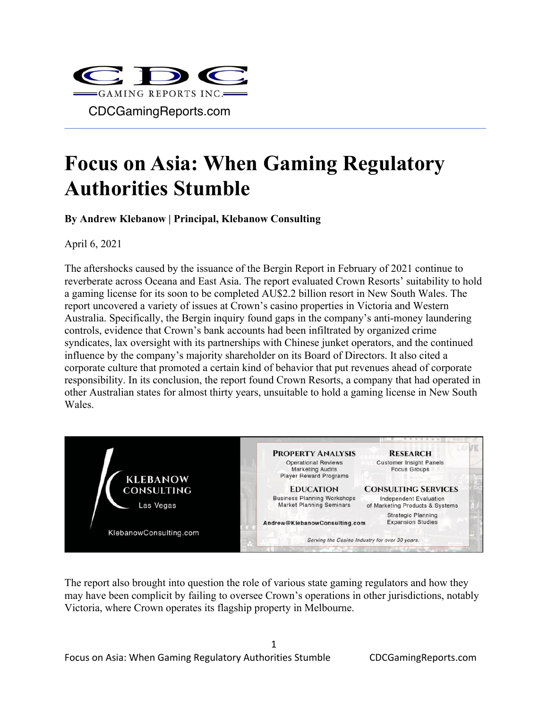

## **Focus on Asia: When Gaming Regulatory Authorities Stumble**

**By Andrew Klebanow | Principal, Klebanow Consulting**

April 6, 2021

The aftershocks caused by the issuance of the Bergin Report in February of 2021 continue to reverberate across Oceana and East Asia. The report evaluated Crown Resorts' suitability to hold a gaming license for its soon to be completed AU\$2.2 billion resort in New South Wales. The report uncovered a variety of issues at Crown's casino properties in Victoria and Western Australia. Specifically, the Bergin inquiry found gaps in the company's anti-money laundering controls, evidence that Crown's bank accounts had been infiltrated by organized crime syndicates, lax oversight with its partnerships with Chinese junket operators, and the continued influence by the company's majority shareholder on its Board of Directors. It also cited a corporate culture that promoted a certain kind of behavior that put revenues ahead of corporate responsibility. In its conclusion, the report found Crown Resorts, a company that had operated in other Australian states for almost thirty years, unsuitable to hold a gaming license in New South Wales.



The report also brought into question the role of various state gaming regulators and how they may have been complicit by failing to oversee Crown's operations in other jurisdictions, notably Victoria, where Crown operates its flagship property in Melbourne.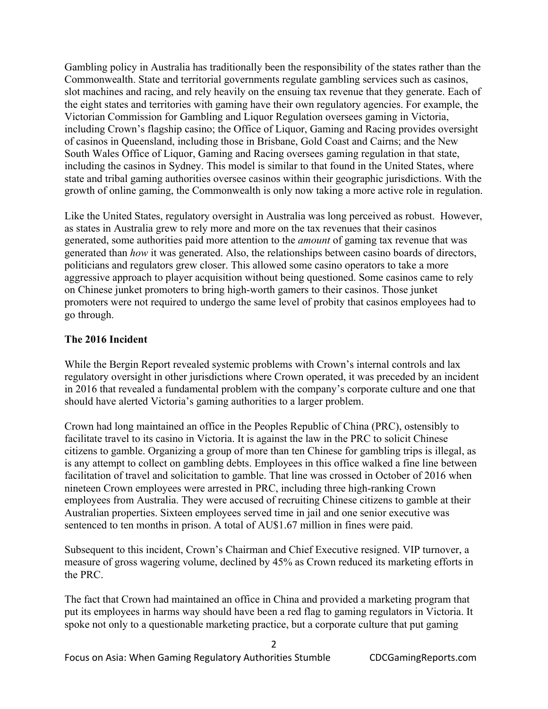Gambling policy in Australia has traditionally been the responsibility of the states rather than the Commonwealth. State and territorial governments regulate gambling services such as casinos, slot machines and racing, and rely heavily on the ensuing tax revenue that they generate. Each of the eight states and territories with gaming have their own regulatory agencies. For example, the Victorian Commission for Gambling and Liquor Regulation oversees gaming in Victoria, including Crown's flagship casino; the Office of Liquor, Gaming and Racing provides oversight of casinos in Queensland, including those in Brisbane, Gold Coast and Cairns; and the New South Wales Office of Liquor, Gaming and Racing oversees gaming regulation in that state, including the casinos in Sydney. This model is similar to that found in the United States, where state and tribal gaming authorities oversee casinos within their geographic jurisdictions. With the growth of online gaming, the Commonwealth is only now taking a more active role in regulation.

Like the United States, regulatory oversight in Australia was long perceived as robust. However, as states in Australia grew to rely more and more on the tax revenues that their casinos generated, some authorities paid more attention to the *amount* of gaming tax revenue that was generated than *how* it was generated. Also, the relationships between casino boards of directors, politicians and regulators grew closer. This allowed some casino operators to take a more aggressive approach to player acquisition without being questioned. Some casinos came to rely on Chinese junket promoters to bring high-worth gamers to their casinos. Those junket promoters were not required to undergo the same level of probity that casinos employees had to go through.

## **The 2016 Incident**

While the Bergin Report revealed systemic problems with Crown's internal controls and lax regulatory oversight in other jurisdictions where Crown operated, it was preceded by an incident in 2016 that revealed a fundamental problem with the company's corporate culture and one that should have alerted Victoria's gaming authorities to a larger problem.

Crown had long maintained an office in the Peoples Republic of China (PRC), ostensibly to facilitate travel to its casino in Victoria. It is against the law in the PRC to solicit Chinese citizens to gamble. Organizing a group of more than ten Chinese for gambling trips is illegal, as is any attempt to collect on gambling debts. Employees in this office walked a fine line between facilitation of travel and solicitation to gamble. That line was crossed in October of 2016 when nineteen Crown employees were arrested in PRC, including three high-ranking Crown employees from Australia. They were accused of recruiting Chinese citizens to gamble at their Australian properties. Sixteen employees served time in jail and one senior executive was sentenced to ten months in prison. A total of AU\$1.67 million in fines were paid.

Subsequent to this incident, Crown's Chairman and Chief Executive resigned. VIP turnover, a measure of gross wagering volume, declined by 45% as Crown reduced its marketing efforts in the PRC.

The fact that Crown had maintained an office in China and provided a marketing program that put its employees in harms way should have been a red flag to gaming regulators in Victoria. It spoke not only to a questionable marketing practice, but a corporate culture that put gaming

2